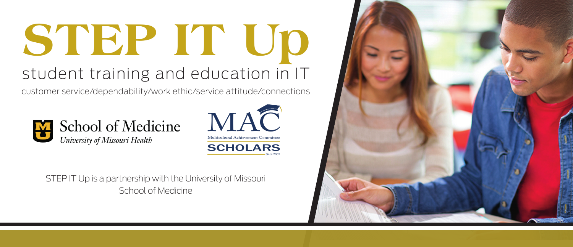#### **STEP IT Up** student training and education in IT

customer service/dependability/work ethic/service attitude/connections





STEP IT Up is a partnership with the University of Missouri School of Medicine